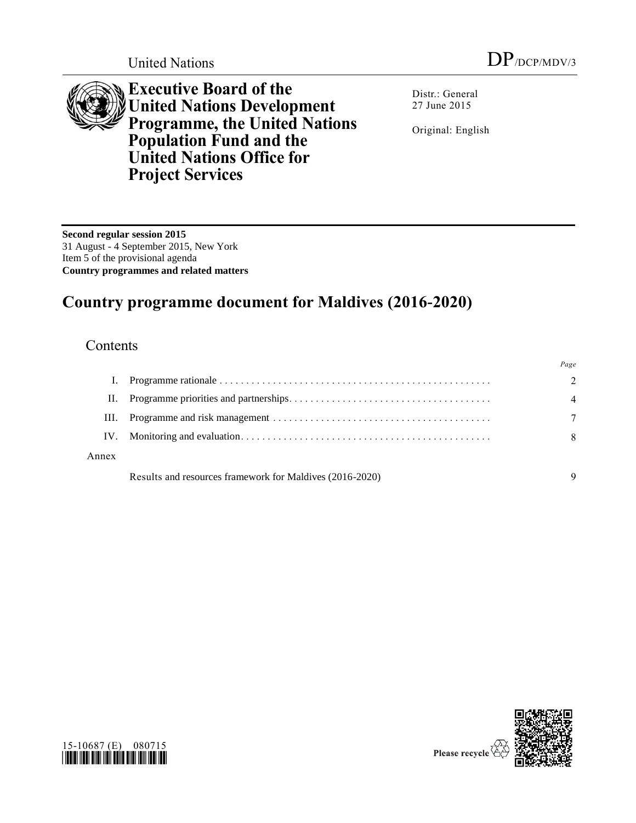

**Executive Board of the United Nations Development Programme, the United Nations Population Fund and the United Nations Office for Project Services**

Distr.: General 27 June 2015

Original: English

**Second regular session 2015** 31 August - 4 September 2015, New York Item 5 of the provisional agenda **Country programmes and related matters**

# **Country programme document for Maldives (2016-2020)**

## **Contents**

|       |                                                          | Page          |
|-------|----------------------------------------------------------|---------------|
|       |                                                          | $\mathcal{D}$ |
| П.    |                                                          | 4             |
| HL.   |                                                          |               |
| IV.   |                                                          | 8             |
| Annex |                                                          |               |
|       | Results and resources framework for Maldives (2016-2020) |               |



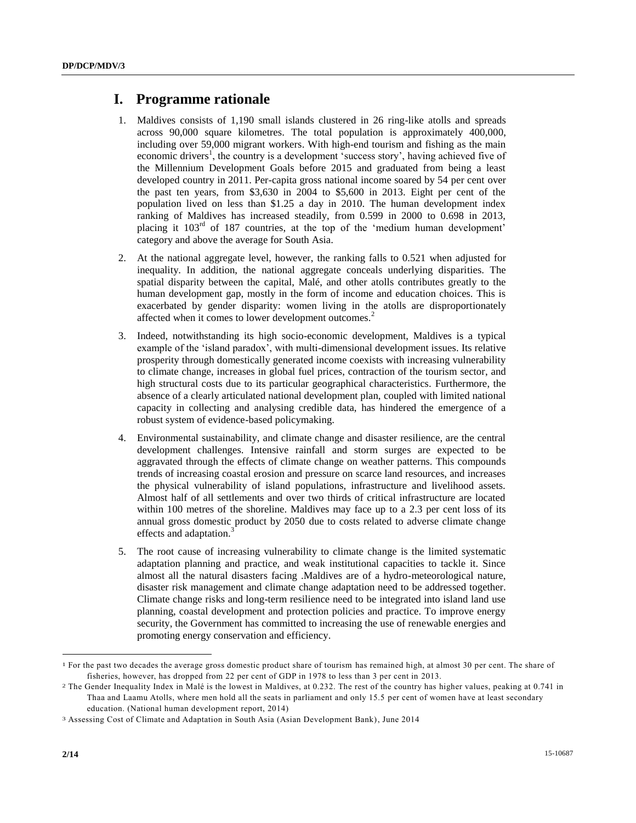#### **I. Programme rationale**

- 1. Maldives consists of 1,190 small islands clustered in 26 ring-like atolls and spreads across 90,000 square kilometres. The total population is approximately 400,000, including over 59,000 migrant workers. With high-end tourism and fishing as the main economic drivers<sup>1</sup>, the country is a development 'success story', having achieved five of the Millennium Development Goals before 2015 and graduated from being a least developed country in 2011. Per-capita gross national income soared by 54 per cent over the past ten years, from \$3,630 in 2004 to \$5,600 in 2013. Eight per cent of the population lived on less than \$1.25 a day in 2010. The human development index ranking of Maldives has increased steadily, from 0.599 in 2000 to 0.698 in 2013, placing it  $103<sup>rd</sup>$  of 187 countries, at the top of the 'medium human development' category and above the average for South Asia.
- 2. At the national aggregate level, however, the ranking falls to 0.521 when adjusted for inequality. In addition, the national aggregate conceals underlying disparities. The spatial disparity between the capital, Malé, and other atolls contributes greatly to the human development gap, mostly in the form of income and education choices. This is exacerbated by gender disparity: women living in the atolls are disproportionately affected when it comes to lower development outcomes.<sup>2</sup>
- 3. Indeed, notwithstanding its high socio-economic development, Maldives is a typical example of the 'island paradox', with multi-dimensional development issues. Its relative prosperity through domestically generated income coexists with increasing vulnerability to climate change, increases in global fuel prices, contraction of the tourism sector, and high structural costs due to its particular geographical characteristics. Furthermore, the absence of a clearly articulated national development plan, coupled with limited national capacity in collecting and analysing credible data, has hindered the emergence of a robust system of evidence-based policymaking.
- 4. Environmental sustainability, and climate change and disaster resilience, are the central development challenges. Intensive rainfall and storm surges are expected to be aggravated through the effects of climate change on weather patterns. This compounds trends of increasing coastal erosion and pressure on scarce land resources, and increases the physical vulnerability of island populations, infrastructure and livelihood assets. Almost half of all settlements and over two thirds of critical infrastructure are located within 100 metres of the shoreline. Maldives may face up to a 2.3 per cent loss of its annual gross domestic product by 2050 due to costs related to adverse climate change effects and adaptation.<sup>3</sup>
- 5. The root cause of increasing vulnerability to climate change is the limited systematic adaptation planning and practice, and weak institutional capacities to tackle it. Since almost all the natural disasters facing .Maldives are of a hydro-meteorological nature, disaster risk management and climate change adaptation need to be addressed together. Climate change risks and long-term resilience need to be integrated into island land use planning, coastal development and protection policies and practice. To improve energy security, the Government has committed to increasing the use of renewable energies and promoting energy conservation and efficiency.

l

<sup>&</sup>lt;sup>1</sup> For the past two decades the average gross domestic product share of tourism has remained high, at almost 30 per cent. The share of fisheries, however, has dropped from 22 per cent of GDP in 1978 to less than 3 per cent in 2013.

<sup>2</sup> The Gender Inequality Index in Malé is the lowest in Maldives, at 0.232. The rest of the country has higher values, peaking at 0.741 in Thaa and Laamu Atolls, where men hold all the seats in parliament and only 15.5 per cent of women have at least secondary education. (National human development report, 2014)

<sup>3</sup> Assessing Cost of Climate and Adaptation in South Asia (Asian Development Bank), June 2014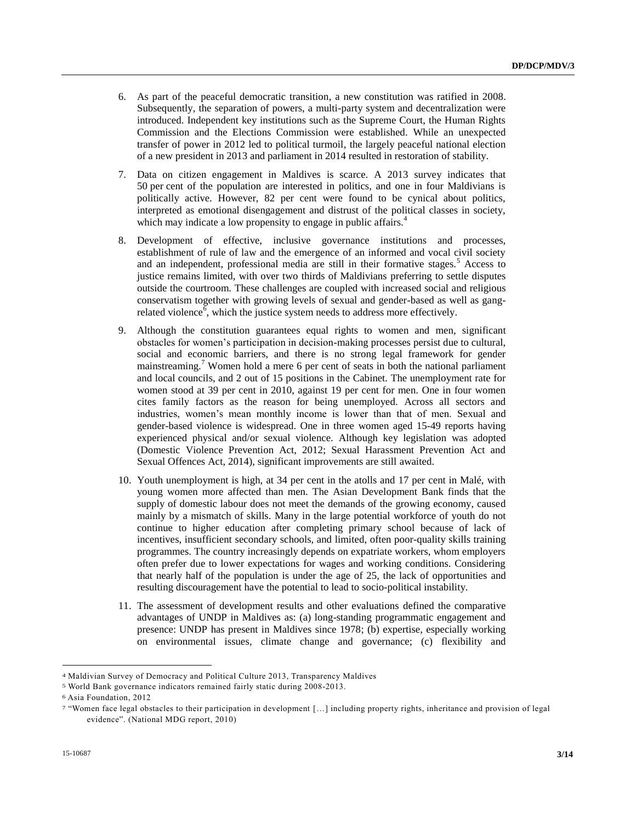- 6. As part of the peaceful democratic transition, a new constitution was ratified in 2008. Subsequently, the separation of powers, a multi-party system and decentralization were introduced. Independent key institutions such as the Supreme Court, the Human Rights Commission and the Elections Commission were established. While an unexpected transfer of power in 2012 led to political turmoil, the largely peaceful national election of a new president in 2013 and parliament in 2014 resulted in restoration of stability.
- 7. Data on citizen engagement in Maldives is scarce. A 2013 survey indicates that 50 per cent of the population are interested in politics, and one in four Maldivians is politically active. However, 82 per cent were found to be cynical about politics, interpreted as emotional disengagement and distrust of the political classes in society, which may indicate a low propensity to engage in public affairs.<sup>4</sup>
- 8. Development of effective, inclusive governance institutions and processes, establishment of rule of law and the emergence of an informed and vocal civil society and an independent, professional media are still in their formative stages.<sup>5</sup> Access to justice remains limited, with over two thirds of Maldivians preferring to settle disputes outside the courtroom. These challenges are coupled with increased social and religious conservatism together with growing levels of sexual and gender-based as well as gangrelated violence<sup> $\bar{6}$ </sup>, which the justice system needs to address more effectively.
- 9. Although the constitution guarantees equal rights to women and men, significant obstacles for women's participation in decision-making processes persist due to cultural, social and economic barriers, and there is no strong legal framework for gender mainstreaming.<sup>7</sup> Women hold a mere 6 per cent of seats in both the national parliament and local councils, and 2 out of 15 positions in the Cabinet. The unemployment rate for women stood at 39 per cent in 2010, against 19 per cent for men. One in four women cites family factors as the reason for being unemployed. Across all sectors and industries, women's mean monthly income is lower than that of men. Sexual and gender-based violence is widespread. One in three women aged 15-49 reports having experienced physical and/or sexual violence. Although key legislation was adopted (Domestic Violence Prevention Act, 2012; Sexual Harassment Prevention Act and Sexual Offences Act, 2014), significant improvements are still awaited.
- 10. Youth unemployment is high, at 34 per cent in the atolls and 17 per cent in Malé, with young women more affected than men. The Asian Development Bank finds that the supply of domestic labour does not meet the demands of the growing economy, caused mainly by a mismatch of skills. Many in the large potential workforce of youth do not continue to higher education after completing primary school because of lack of incentives, insufficient secondary schools, and limited, often poor-quality skills training programmes. The country increasingly depends on expatriate workers, whom employers often prefer due to lower expectations for wages and working conditions. Considering that nearly half of the population is under the age of 25, the lack of opportunities and resulting discouragement have the potential to lead to socio-political instability.
- 11. The assessment of development results and other evaluations defined the comparative advantages of UNDP in Maldives as: (a) long-standing programmatic engagement and presence: UNDP has present in Maldives since 1978; (b) expertise, especially working on environmental issues, climate change and governance; (c) flexibility and

 $\overline{\phantom{a}}$ 

<sup>4</sup> Maldivian Survey of Democracy and Political Culture 2013, Transparency Maldives

<sup>5</sup> World Bank governance indicators remained fairly static during 2008-2013.

<sup>6</sup> Asia Foundation, 2012

<sup>7</sup> "Women face legal obstacles to their participation in development […] including property rights, inheritance and provision of legal evidence". (National MDG report, 2010)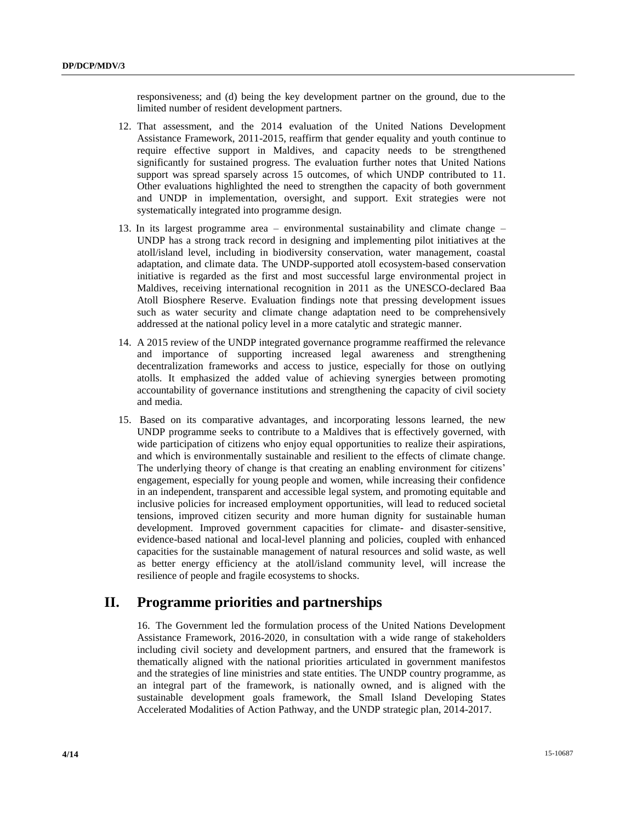responsiveness; and (d) being the key development partner on the ground, due to the limited number of resident development partners.

- 12. That assessment, and the 2014 evaluation of the United Nations Development Assistance Framework, 2011-2015, reaffirm that gender equality and youth continue to require effective support in Maldives, and capacity needs to be strengthened significantly for sustained progress. The evaluation further notes that United Nations support was spread sparsely across 15 outcomes, of which UNDP contributed to 11. Other evaluations highlighted the need to strengthen the capacity of both government and UNDP in implementation, oversight, and support. Exit strategies were not systematically integrated into programme design.
- 13. In its largest programme area environmental sustainability and climate change UNDP has a strong track record in designing and implementing pilot initiatives at the atoll/island level, including in biodiversity conservation, water management, coastal adaptation, and climate data. The UNDP-supported atoll ecosystem-based conservation initiative is regarded as the first and most successful large environmental project in Maldives, receiving international recognition in 2011 as the UNESCO-declared Baa Atoll Biosphere Reserve. Evaluation findings note that pressing development issues such as water security and climate change adaptation need to be comprehensively addressed at the national policy level in a more catalytic and strategic manner.
- 14. A 2015 review of the UNDP integrated governance programme reaffirmed the relevance and importance of supporting increased legal awareness and strengthening decentralization frameworks and access to justice, especially for those on outlying atolls. It emphasized the added value of achieving synergies between promoting accountability of governance institutions and strengthening the capacity of civil society and media.
- 15. Based on its comparative advantages, and incorporating lessons learned, the new UNDP programme seeks to contribute to a Maldives that is effectively governed, with wide participation of citizens who enjoy equal opportunities to realize their aspirations, and which is environmentally sustainable and resilient to the effects of climate change. The underlying theory of change is that creating an enabling environment for citizens' engagement, especially for young people and women, while increasing their confidence in an independent, transparent and accessible legal system, and promoting equitable and inclusive policies for increased employment opportunities, will lead to reduced societal tensions, improved citizen security and more human dignity for sustainable human development. Improved government capacities for climate- and disaster-sensitive, evidence-based national and local-level planning and policies, coupled with enhanced capacities for the sustainable management of natural resources and solid waste, as well as better energy efficiency at the atoll/island community level, will increase the resilience of people and fragile ecosystems to shocks.

### **II. Programme priorities and partnerships**

16. The Government led the formulation process of the United Nations Development Assistance Framework, 2016-2020, in consultation with a wide range of stakeholders including civil society and development partners, and ensured that the framework is thematically aligned with the national priorities articulated in government manifestos and the strategies of line ministries and state entities. The UNDP country programme, as an integral part of the framework, is nationally owned, and is aligned with the sustainable development goals framework, the Small Island Developing States Accelerated Modalities of Action Pathway, and the UNDP strategic plan, 2014-2017.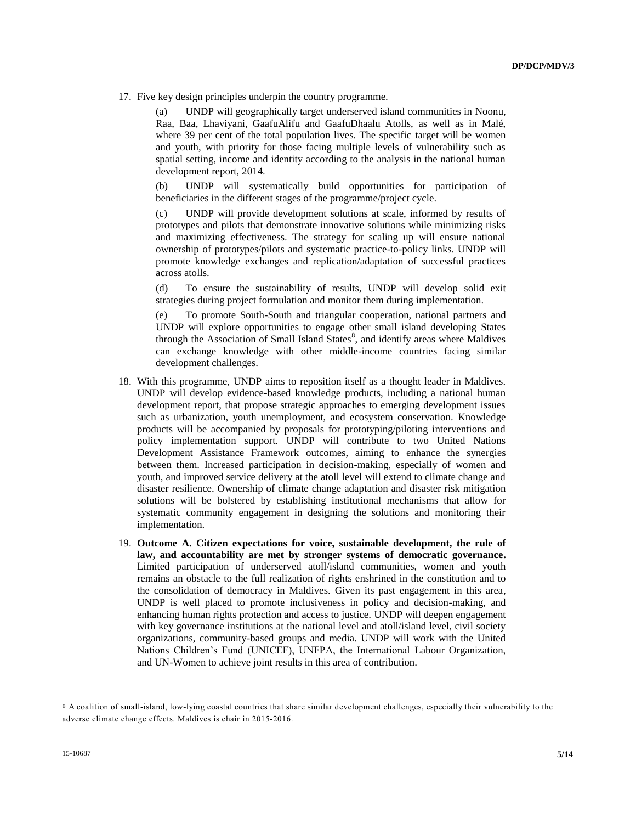17. Five key design principles underpin the country programme.

(a) UNDP will geographically target underserved island communities in Noonu, Raa, Baa, Lhaviyani, GaafuAlifu and GaafuDhaalu Atolls, as well as in Malé, where 39 per cent of the total population lives. The specific target will be women and youth, with priority for those facing multiple levels of vulnerability such as spatial setting, income and identity according to the analysis in the national human development report, 2014.

(b) UNDP will systematically build opportunities for participation of beneficiaries in the different stages of the programme/project cycle.

(c) UNDP will provide development solutions at scale, informed by results of prototypes and pilots that demonstrate innovative solutions while minimizing risks and maximizing effectiveness. The strategy for scaling up will ensure national ownership of prototypes/pilots and systematic practice-to-policy links. UNDP will promote knowledge exchanges and replication/adaptation of successful practices across atolls.

(d) To ensure the sustainability of results, UNDP will develop solid exit strategies during project formulation and monitor them during implementation.

(e) To promote South-South and triangular cooperation, national partners and UNDP will explore opportunities to engage other small island developing States through the Association of Small Island States<sup>8</sup>, and identify areas where Maldives can exchange knowledge with other middle-income countries facing similar development challenges.

- 18. With this programme, UNDP aims to reposition itself as a thought leader in Maldives. UNDP will develop evidence-based knowledge products, including a national human development report, that propose strategic approaches to emerging development issues such as urbanization, youth unemployment, and ecosystem conservation. Knowledge products will be accompanied by proposals for prototyping/piloting interventions and policy implementation support. UNDP will contribute to two United Nations Development Assistance Framework outcomes, aiming to enhance the synergies between them. Increased participation in decision-making, especially of women and youth, and improved service delivery at the atoll level will extend to climate change and disaster resilience. Ownership of climate change adaptation and disaster risk mitigation solutions will be bolstered by establishing institutional mechanisms that allow for systematic community engagement in designing the solutions and monitoring their implementation.
- 19. **Outcome A. Citizen expectations for voice, sustainable development, the rule of law, and accountability are met by stronger systems of democratic governance.** Limited participation of underserved atoll/island communities, women and youth remains an obstacle to the full realization of rights enshrined in the constitution and to the consolidation of democracy in Maldives. Given its past engagement in this area, UNDP is well placed to promote inclusiveness in policy and decision-making, and enhancing human rights protection and access to justice. UNDP will deepen engagement with key governance institutions at the national level and atoll/island level, civil society organizations, community-based groups and media. UNDP will work with the United Nations Children's Fund (UNICEF), UNFPA, the International Labour Organization, and UN-Women to achieve joint results in this area of contribution.

l

<sup>8</sup> A coalition of small-island, low-lying coastal countries that share similar development challenges, especially their vulnerability to the adverse climate change effects. Maldives is chair in 2015-2016.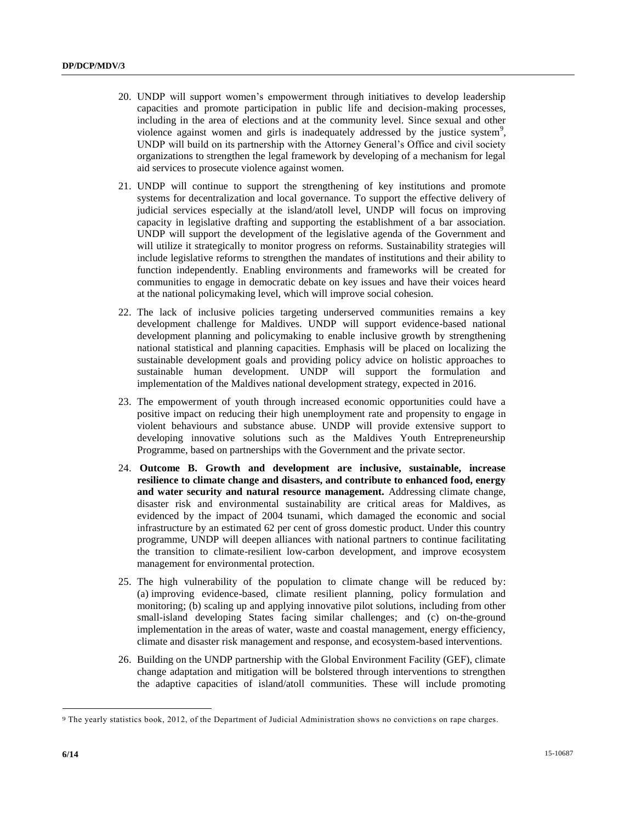- 20. UNDP will support women's empowerment through initiatives to develop leadership capacities and promote participation in public life and decision-making processes, including in the area of elections and at the community level. Since sexual and other violence against women and girls is inadequately addressed by the justice system<sup>9</sup>, UNDP will build on its partnership with the Attorney General's Office and civil society organizations to strengthen the legal framework by developing of a mechanism for legal aid services to prosecute violence against women.
- 21. UNDP will continue to support the strengthening of key institutions and promote systems for decentralization and local governance. To support the effective delivery of judicial services especially at the island/atoll level, UNDP will focus on improving capacity in legislative drafting and supporting the establishment of a bar association. UNDP will support the development of the legislative agenda of the Government and will utilize it strategically to monitor progress on reforms. Sustainability strategies will include legislative reforms to strengthen the mandates of institutions and their ability to function independently. Enabling environments and frameworks will be created for communities to engage in democratic debate on key issues and have their voices heard at the national policymaking level, which will improve social cohesion.
- 22. The lack of inclusive policies targeting underserved communities remains a key development challenge for Maldives. UNDP will support evidence-based national development planning and policymaking to enable inclusive growth by strengthening national statistical and planning capacities. Emphasis will be placed on localizing the sustainable development goals and providing policy advice on holistic approaches to sustainable human development. UNDP will support the formulation and implementation of the Maldives national development strategy, expected in 2016.
- 23. The empowerment of youth through increased economic opportunities could have a positive impact on reducing their high unemployment rate and propensity to engage in violent behaviours and substance abuse. UNDP will provide extensive support to developing innovative solutions such as the Maldives Youth Entrepreneurship Programme, based on partnerships with the Government and the private sector.
- 24. **Outcome B. Growth and development are inclusive, sustainable, increase resilience to climate change and disasters, and contribute to enhanced food, energy and water security and natural resource management.** Addressing climate change, disaster risk and environmental sustainability are critical areas for Maldives, as evidenced by the impact of 2004 tsunami, which damaged the economic and social infrastructure by an estimated 62 per cent of gross domestic product. Under this country programme, UNDP will deepen alliances with national partners to continue facilitating the transition to climate-resilient low-carbon development, and improve ecosystem management for environmental protection.
- 25. The high vulnerability of the population to climate change will be reduced by: (a) improving evidence-based, climate resilient planning, policy formulation and monitoring; (b) scaling up and applying innovative pilot solutions, including from other small-island developing States facing similar challenges; and (c) on-the-ground implementation in the areas of water, waste and coastal management, energy efficiency, climate and disaster risk management and response, and ecosystem-based interventions.
- 26. Building on the UNDP partnership with the Global Environment Facility (GEF), climate change adaptation and mitigation will be bolstered through interventions to strengthen the adaptive capacities of island/atoll communities. These will include promoting

 $\overline{\phantom{a}}$ 

<sup>9</sup> The yearly statistics book, 2012, of the Department of Judicial Administration shows no convictions on rape charges.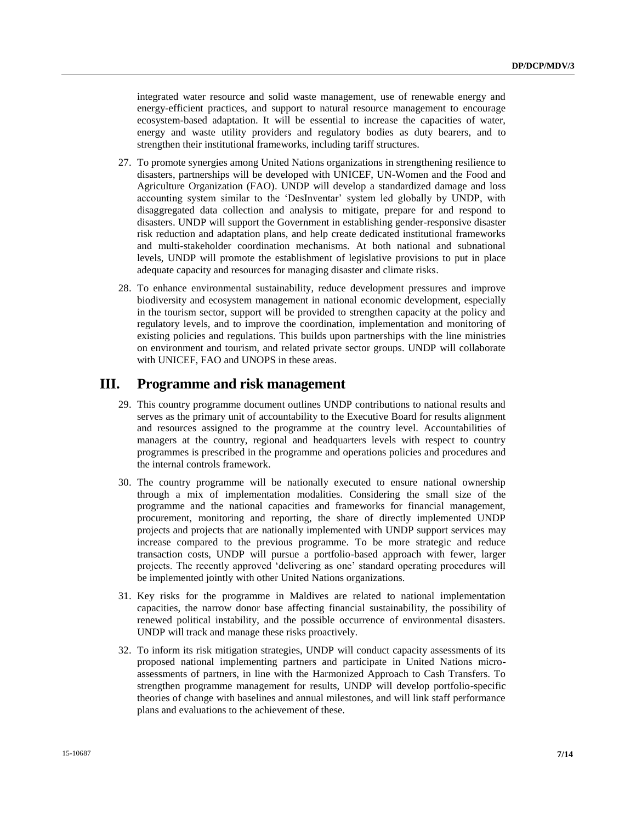integrated water resource and solid waste management, use of renewable energy and energy-efficient practices, and support to natural resource management to encourage ecosystem-based adaptation. It will be essential to increase the capacities of water, energy and waste utility providers and regulatory bodies as duty bearers, and to strengthen their institutional frameworks, including tariff structures.

- 27. To promote synergies among United Nations organizations in strengthening resilience to disasters, partnerships will be developed with UNICEF, UN-Women and the Food and Agriculture Organization (FAO). UNDP will develop a standardized damage and loss accounting system similar to the 'DesInventar' system led globally by UNDP, with disaggregated data collection and analysis to mitigate, prepare for and respond to disasters. UNDP will support the Government in establishing gender-responsive disaster risk reduction and adaptation plans, and help create dedicated institutional frameworks and multi-stakeholder coordination mechanisms. At both national and subnational levels, UNDP will promote the establishment of legislative provisions to put in place adequate capacity and resources for managing disaster and climate risks.
- 28. To enhance environmental sustainability, reduce development pressures and improve biodiversity and ecosystem management in national economic development, especially in the tourism sector, support will be provided to strengthen capacity at the policy and regulatory levels, and to improve the coordination, implementation and monitoring of existing policies and regulations. This builds upon partnerships with the line ministries on environment and tourism, and related private sector groups. UNDP will collaborate with UNICEF, FAO and UNOPS in these areas.

#### **III. Programme and risk management**

- 29. This country programme document outlines UNDP contributions to national results and serves as the primary unit of accountability to the Executive Board for results alignment and resources assigned to the programme at the country level. Accountabilities of managers at the country, regional and headquarters levels with respect to country programmes is prescribed in the [programme and operations policies and procedures](http://www.undp.org/content/undp/en/home/operations/accountability/programme_and_operationspoliciesandprocedures.html) and th[e internal controls framework.](https://info.undp.org/global/popp/rma/Pages/internal-control-framework.aspx)
- 30. The country programme will be nationally executed to ensure national ownership through a mix of implementation modalities. Considering the small size of the programme and the national capacities and frameworks for financial management, procurement, monitoring and reporting, the share of directly implemented UNDP projects and projects that are nationally implemented with UNDP support services may increase compared to the previous programme. To be more strategic and reduce transaction costs, UNDP will pursue a portfolio-based approach with fewer, larger projects. The recently approved 'delivering as one' standard operating procedures will be implemented jointly with other United Nations organizations.
- 31. Key risks for the programme in Maldives are related to national implementation capacities, the narrow donor base affecting financial sustainability, the possibility of renewed political instability, and the possible occurrence of environmental disasters. UNDP will track and manage these risks proactively.
- 32. To inform its risk mitigation strategies, UNDP will conduct capacity assessments of its proposed national implementing partners and participate in United Nations microassessments of partners, in line with the Harmonized Approach to Cash Transfers. To strengthen programme management for results, UNDP will develop portfolio-specific theories of change with baselines and annual milestones, and will link staff performance plans and evaluations to the achievement of these.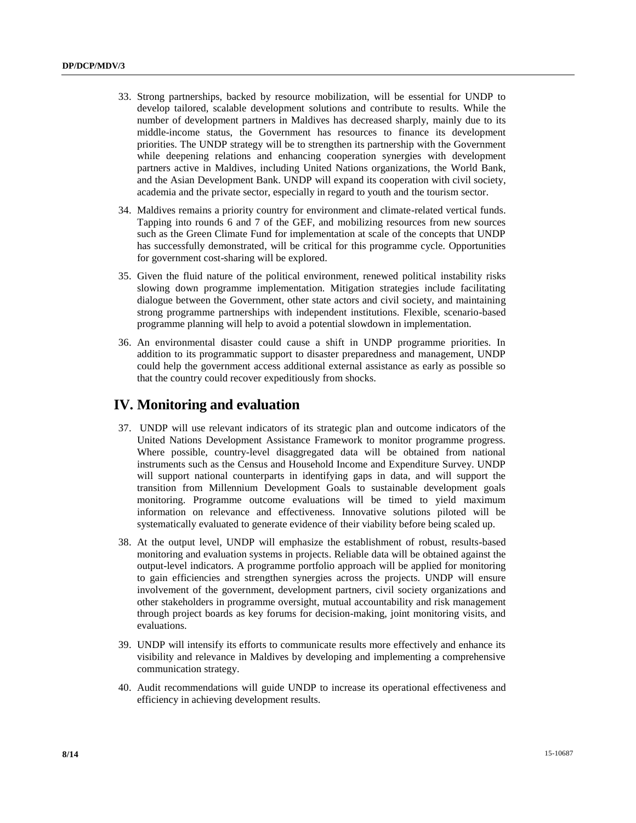- 33. Strong partnerships, backed by resource mobilization, will be essential for UNDP to develop tailored, scalable development solutions and contribute to results. While the number of development partners in Maldives has decreased sharply, mainly due to its middle-income status, the Government has resources to finance its development priorities. The UNDP strategy will be to strengthen its partnership with the Government while deepening relations and enhancing cooperation synergies with development partners active in Maldives, including United Nations organizations, the World Bank, and the Asian Development Bank. UNDP will expand its cooperation with civil society, academia and the private sector, especially in regard to youth and the tourism sector.
- 34. Maldives remains a priority country for environment and climate-related vertical funds. Tapping into rounds 6 and 7 of the GEF, and mobilizing resources from new sources such as the Green Climate Fund for implementation at scale of the concepts that UNDP has successfully demonstrated, will be critical for this programme cycle. Opportunities for government cost-sharing will be explored.
- 35. Given the fluid nature of the political environment, renewed political instability risks slowing down programme implementation. Mitigation strategies include facilitating dialogue between the Government, other state actors and civil society, and maintaining strong programme partnerships with independent institutions. Flexible, scenario-based programme planning will help to avoid a potential slowdown in implementation.
- 36. An environmental disaster could cause a shift in UNDP programme priorities. In addition to its programmatic support to disaster preparedness and management, UNDP could help the government access additional external assistance as early as possible so that the country could recover expeditiously from shocks.

### **IV. Monitoring and evaluation**

- 37. UNDP will use relevant indicators of its strategic plan and outcome indicators of the United Nations Development Assistance Framework to monitor programme progress. Where possible, country-level disaggregated data will be obtained from national instruments such as the Census and Household Income and Expenditure Survey. UNDP will support national counterparts in identifying gaps in data, and will support the transition from Millennium Development Goals to sustainable development goals monitoring. Programme outcome evaluations will be timed to yield maximum information on relevance and effectiveness. Innovative solutions piloted will be systematically evaluated to generate evidence of their viability before being scaled up.
- 38. At the output level, UNDP will emphasize the establishment of robust, results-based monitoring and evaluation systems in projects. Reliable data will be obtained against the output-level indicators. A programme portfolio approach will be applied for monitoring to gain efficiencies and strengthen synergies across the projects. UNDP will ensure involvement of the government, development partners, civil society organizations and other stakeholders in programme oversight, mutual accountability and risk management through project boards as key forums for decision-making, joint monitoring visits, and evaluations.
- 39. UNDP will intensify its efforts to communicate results more effectively and enhance its visibility and relevance in Maldives by developing and implementing a comprehensive communication strategy.
- 40. Audit recommendations will guide UNDP to increase its operational effectiveness and efficiency in achieving development results.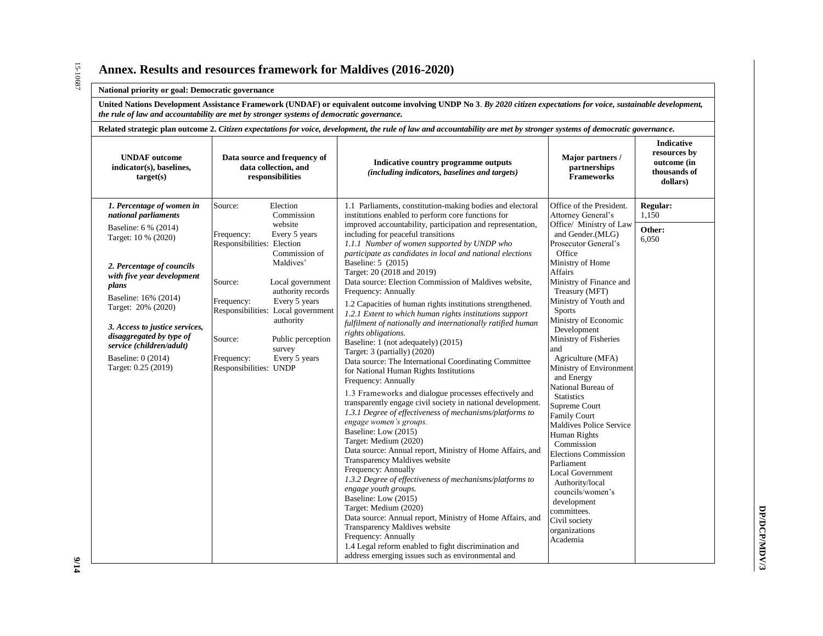#### **Annex. Results and resources framework for Maldives (2016-2020)**

#### **National priority or goal: Democratic governance**

**United Nations Development Assistance Framework (UNDAF) or equivalent outcome involving UNDP No 3**. *By 2020 citizen expectations for voice, sustainable development, the rule of law and accountability are met by stronger systems of democratic governance.*

| Related strategic plan outcome 2. Citizen expectations for voice, development, the rule of law and accountability are met by stronger systems of democratic governance.                                                                                                                                                                                   |                                                                                                                                                                                                                                                                                                                                                                                  |                                                                                                                                                                                                                                                                                                                                                                                                                                                                                                                                                                                                                                                                                                                                                                                                                                                                                                                                                                                                                                                                                                                                                                                                                                                                                                                                                                                                                                                                                                                                                                                                                                               |                                                                                                                                                                                                                                                                                                                                                                                                                                                                                                                                                                                                                                                                                                                                           |                                                                              |  |
|-----------------------------------------------------------------------------------------------------------------------------------------------------------------------------------------------------------------------------------------------------------------------------------------------------------------------------------------------------------|----------------------------------------------------------------------------------------------------------------------------------------------------------------------------------------------------------------------------------------------------------------------------------------------------------------------------------------------------------------------------------|-----------------------------------------------------------------------------------------------------------------------------------------------------------------------------------------------------------------------------------------------------------------------------------------------------------------------------------------------------------------------------------------------------------------------------------------------------------------------------------------------------------------------------------------------------------------------------------------------------------------------------------------------------------------------------------------------------------------------------------------------------------------------------------------------------------------------------------------------------------------------------------------------------------------------------------------------------------------------------------------------------------------------------------------------------------------------------------------------------------------------------------------------------------------------------------------------------------------------------------------------------------------------------------------------------------------------------------------------------------------------------------------------------------------------------------------------------------------------------------------------------------------------------------------------------------------------------------------------------------------------------------------------|-------------------------------------------------------------------------------------------------------------------------------------------------------------------------------------------------------------------------------------------------------------------------------------------------------------------------------------------------------------------------------------------------------------------------------------------------------------------------------------------------------------------------------------------------------------------------------------------------------------------------------------------------------------------------------------------------------------------------------------------|------------------------------------------------------------------------------|--|
| <b>UNDAF</b> outcome<br>indicator(s), baselines,<br>target(s)                                                                                                                                                                                                                                                                                             | Data source and frequency of<br>data collection, and<br>responsibilities                                                                                                                                                                                                                                                                                                         | Indicative country programme outputs<br>(including indicators, baselines and targets)                                                                                                                                                                                                                                                                                                                                                                                                                                                                                                                                                                                                                                                                                                                                                                                                                                                                                                                                                                                                                                                                                                                                                                                                                                                                                                                                                                                                                                                                                                                                                         | Major partners /<br>partnerships<br><b>Frameworks</b>                                                                                                                                                                                                                                                                                                                                                                                                                                                                                                                                                                                                                                                                                     | <b>Indicative</b><br>resources by<br>outcome (in<br>thousands of<br>dollars) |  |
| 1. Percentage of women in<br>national parliaments<br>Baseline: 6 % (2014)<br>Target: 10 % (2020)<br>2. Percentage of councils<br>with five year development<br>plans<br>Baseline: 16% (2014)<br>Target: 20% (2020)<br>3. Access to justice services,<br>disaggregated by type of<br>service (children/adult)<br>Baseline: 0 (2014)<br>Target: 0.25 (2019) | Source:<br>Election<br>Commission<br>website<br>Frequency:<br>Every 5 years<br>Responsibilities: Election<br>Commission of<br>Maldives'<br>Source:<br>Local government<br>authority records<br>Every 5 years<br>Frequency:<br>Responsibilities: Local government<br>authority<br>Source:<br>Public perception<br>survey<br>Frequency:<br>Every 5 years<br>Responsibilities: UNDP | 1.1 Parliaments, constitution-making bodies and electoral<br>institutions enabled to perform core functions for<br>improved accountability, participation and representation,<br>including for peaceful transitions<br>1.1.1 Number of women supported by UNDP who<br>participate as candidates in local and national elections<br>Baseline: 5 (2015)<br>Target: 20 (2018 and 2019)<br>Data source: Election Commission of Maldives website,<br>Frequency: Annually<br>1.2 Capacities of human rights institutions strengthened.<br>1.2.1 Extent to which human rights institutions support<br>fulfilment of nationally and internationally ratified human<br>rights obligations.<br>Baseline: 1 (not adequately) (2015)<br>Target: 3 (partially) (2020)<br>Data source: The International Coordinating Committee<br>for National Human Rights Institutions<br>Frequency: Annually<br>1.3 Frameworks and dialogue processes effectively and<br>transparently engage civil society in national development.<br>1.3.1 Degree of effectiveness of mechanisms/platforms to<br>engage women's groups.<br>Baseline: Low (2015)<br>Target: Medium (2020)<br>Data source: Annual report, Ministry of Home Affairs, and<br>Transparency Maldives website<br>Frequency: Annually<br>1.3.2 Degree of effectiveness of mechanisms/platforms to<br>engage youth groups.<br>Baseline: Low (2015)<br>Target: Medium (2020)<br>Data source: Annual report, Ministry of Home Affairs, and<br>Transparency Maldives website<br>Frequency: Annually<br>1.4 Legal reform enabled to fight discrimination and<br>address emerging issues such as environmental and | Office of the President.<br>Attorney General's<br>Office/ Ministry of Law<br>and Gender. (MLG)<br>Prosecutor General's<br>Office<br>Ministry of Home<br><b>Affairs</b><br>Ministry of Finance and<br>Treasury (MFT)<br>Ministry of Youth and<br><b>Sports</b><br>Ministry of Economic<br>Development<br>Ministry of Fisheries<br>and<br>Agriculture (MFA)<br>Ministry of Environment<br>and Energy<br>National Bureau of<br><b>Statistics</b><br>Supreme Court<br><b>Family Court</b><br>Maldives Police Service<br>Human Rights<br>Commission<br><b>Elections Commission</b><br>Parliament<br><b>Local Government</b><br>Authority/local<br>councils/women's<br>development<br>committees.<br>Civil society<br>organizations<br>Academia | Regular:<br>1,150<br>Other:<br>6,050                                         |  |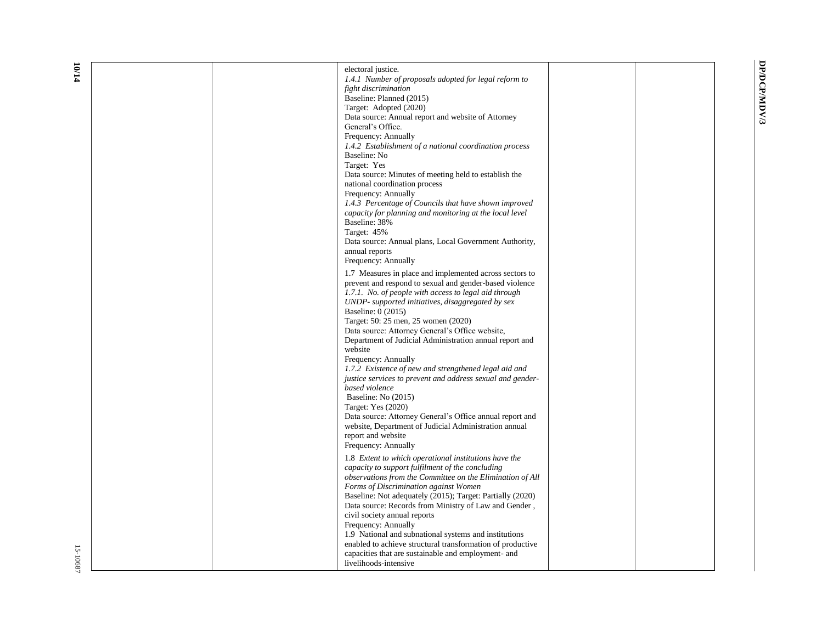DP/DCP/MDV/3 **DP/DCP/MDV/3**

| electoral justice.                                                                                                 |  |
|--------------------------------------------------------------------------------------------------------------------|--|
| 1.4.1 Number of proposals adopted for legal reform to                                                              |  |
| fight discrimination<br>Baseline: Planned (2015)                                                                   |  |
| Target: Adopted (2020)                                                                                             |  |
| Data source: Annual report and website of Attorney                                                                 |  |
| General's Office.                                                                                                  |  |
| Frequency: Annually                                                                                                |  |
| 1.4.2 Establishment of a national coordination process                                                             |  |
| Baseline: No                                                                                                       |  |
| Target: Yes                                                                                                        |  |
| Data source: Minutes of meeting held to establish the                                                              |  |
| national coordination process                                                                                      |  |
| Frequency: Annually                                                                                                |  |
| 1.4.3 Percentage of Councils that have shown improved                                                              |  |
| capacity for planning and monitoring at the local level                                                            |  |
| Baseline: 38%                                                                                                      |  |
| Target: 45%<br>Data source: Annual plans, Local Government Authority,                                              |  |
| annual reports                                                                                                     |  |
| Frequency: Annually                                                                                                |  |
|                                                                                                                    |  |
| 1.7 Measures in place and implemented across sectors to<br>prevent and respond to sexual and gender-based violence |  |
| 1.7.1. No. of people with access to legal aid through                                                              |  |
| UNDP- supported initiatives, disaggregated by sex                                                                  |  |
| Baseline: 0 (2015)                                                                                                 |  |
| Target: 50: 25 men, 25 women (2020)                                                                                |  |
| Data source: Attorney General's Office website,                                                                    |  |
| Department of Judicial Administration annual report and                                                            |  |
| website                                                                                                            |  |
| Frequency: Annually                                                                                                |  |
| 1.7.2 Existence of new and strengthened legal aid and                                                              |  |
| justice services to prevent and address sexual and gender-                                                         |  |
| based violence                                                                                                     |  |
| Baseline: No (2015)                                                                                                |  |
| Target: Yes (2020)                                                                                                 |  |
| Data source: Attorney General's Office annual report and<br>website, Department of Judicial Administration annual  |  |
| report and website                                                                                                 |  |
| Frequency: Annually                                                                                                |  |
|                                                                                                                    |  |
| 1.8 Extent to which operational institutions have the<br>capacity to support fulfilment of the concluding          |  |
| observations from the Committee on the Elimination of All                                                          |  |
| Forms of Discrimination against Women                                                                              |  |
| Baseline: Not adequately (2015); Target: Partially (2020)                                                          |  |
| Data source: Records from Ministry of Law and Gender,                                                              |  |
| civil society annual reports                                                                                       |  |
| Frequency: Annually                                                                                                |  |
| 1.9 National and subnational systems and institutions                                                              |  |
| enabled to achieve structural transformation of productive                                                         |  |
| capacities that are sustainable and employment- and                                                                |  |
| livelihoods-intensive                                                                                              |  |

**10 /14**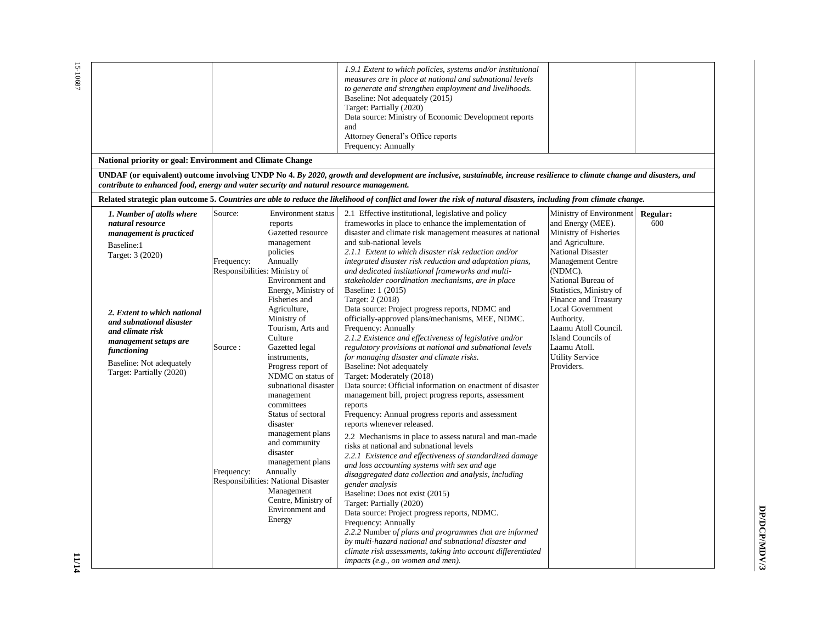| National priority or goal: Environment and Climate Change                                                                                                                                                                                                                                 |                                                                                 |                                                                                                                                                                                                                                                                                                                                                                                                                                                                                                                                                                                        | 1.9.1 Extent to which policies, systems and/or institutional<br>measures are in place at national and subnational levels<br>to generate and strengthen employment and livelihoods.<br>Baseline: Not adequately (2015)<br>Target: Partially (2020)<br>Data source: Ministry of Economic Development reports<br>and<br>Attorney General's Office reports<br>Frequency: Annually                                                                                                                                                                                                                                                                                                                                                                                                                                                                                                                                                                                                                                                                                                                                                                                                                                                                                                                                                                                                                                                                                                                                                                                                                                                                                                                                          |                                                                                                                                                                                                                                                                                                                                                                                      |                        |
|-------------------------------------------------------------------------------------------------------------------------------------------------------------------------------------------------------------------------------------------------------------------------------------------|---------------------------------------------------------------------------------|----------------------------------------------------------------------------------------------------------------------------------------------------------------------------------------------------------------------------------------------------------------------------------------------------------------------------------------------------------------------------------------------------------------------------------------------------------------------------------------------------------------------------------------------------------------------------------------|------------------------------------------------------------------------------------------------------------------------------------------------------------------------------------------------------------------------------------------------------------------------------------------------------------------------------------------------------------------------------------------------------------------------------------------------------------------------------------------------------------------------------------------------------------------------------------------------------------------------------------------------------------------------------------------------------------------------------------------------------------------------------------------------------------------------------------------------------------------------------------------------------------------------------------------------------------------------------------------------------------------------------------------------------------------------------------------------------------------------------------------------------------------------------------------------------------------------------------------------------------------------------------------------------------------------------------------------------------------------------------------------------------------------------------------------------------------------------------------------------------------------------------------------------------------------------------------------------------------------------------------------------------------------------------------------------------------------|--------------------------------------------------------------------------------------------------------------------------------------------------------------------------------------------------------------------------------------------------------------------------------------------------------------------------------------------------------------------------------------|------------------------|
| contribute to enhanced food, energy and water security and natural resource management.                                                                                                                                                                                                   |                                                                                 |                                                                                                                                                                                                                                                                                                                                                                                                                                                                                                                                                                                        | UNDAF (or equivalent) outcome involving UNDP No 4. By 2020, growth and development are inclusive, sustainable, increase resilience to climate change and disasters, and                                                                                                                                                                                                                                                                                                                                                                                                                                                                                                                                                                                                                                                                                                                                                                                                                                                                                                                                                                                                                                                                                                                                                                                                                                                                                                                                                                                                                                                                                                                                                |                                                                                                                                                                                                                                                                                                                                                                                      |                        |
|                                                                                                                                                                                                                                                                                           |                                                                                 |                                                                                                                                                                                                                                                                                                                                                                                                                                                                                                                                                                                        | Related strategic plan outcome 5. Countries are able to reduce the likelihood of conflict and lower the risk of natural disasters, including from climate change.                                                                                                                                                                                                                                                                                                                                                                                                                                                                                                                                                                                                                                                                                                                                                                                                                                                                                                                                                                                                                                                                                                                                                                                                                                                                                                                                                                                                                                                                                                                                                      |                                                                                                                                                                                                                                                                                                                                                                                      |                        |
| 1. Number of atolls where<br>natural resource<br>management is practiced<br>Baseline:1<br>Target: 3 (2020)<br>2. Extent to which national<br>and subnational disaster<br>and climate risk<br>management setups are<br>functioning<br>Baseline: Not adequately<br>Target: Partially (2020) | Source:<br>Frequency:<br>Responsibilities: Ministry of<br>Source:<br>Frequency: | <b>Environment</b> status<br>reports<br>Gazetted resource<br>management<br>policies<br>Annually<br>Environment and<br>Energy, Ministry of<br>Fisheries and<br>Agriculture,<br>Ministry of<br>Tourism, Arts and<br>Culture<br>Gazetted legal<br>instruments,<br>Progress report of<br>NDMC on status of<br>subnational disaster<br>management<br>committees<br>Status of sectoral<br>disaster<br>management plans<br>and community<br>disaster<br>management plans<br>Annually<br>Responsibilities: National Disaster<br>Management<br>Centre, Ministry of<br>Environment and<br>Energy | 2.1 Effective institutional, legislative and policy<br>frameworks in place to enhance the implementation of<br>disaster and climate risk management measures at national<br>and sub-national levels<br>2.1.1 Extent to which disaster risk reduction and/or<br>integrated disaster risk reduction and adaptation plans,<br>and dedicated institutional frameworks and multi-<br>stakeholder coordination mechanisms, are in place<br>Baseline: 1 (2015)<br>Target: 2 (2018)<br>Data source: Project progress reports, NDMC and<br>officially-approved plans/mechanisms, MEE, NDMC.<br>Frequency: Annually<br>2.1.2 Existence and effectiveness of legislative and/or<br>regulatory provisions at national and subnational levels<br>for managing disaster and climate risks.<br>Baseline: Not adequately<br>Target: Moderately (2018)<br>Data source: Official information on enactment of disaster<br>management bill, project progress reports, assessment<br>reports<br>Frequency: Annual progress reports and assessment<br>reports whenever released.<br>2.2 Mechanisms in place to assess natural and man-made<br>risks at national and subnational levels<br>2.2.1 Existence and effectiveness of standardized damage<br>and loss accounting systems with sex and age<br>disaggregated data collection and analysis, including<br>gender analysis<br>Baseline: Does not exist (2015)<br>Target: Partially (2020)<br>Data source: Project progress reports, NDMC.<br>Frequency: Annually<br>2.2.2 Number of plans and programmes that are informed<br>by multi-hazard national and subnational disaster and<br>climate risk assessments, taking into account differentiated<br>impacts (e.g., on women and men). | Ministry of Environment<br>and Energy (MEE).<br>Ministry of Fisheries<br>and Agriculture.<br><b>National Disaster</b><br><b>Management Centre</b><br>(NDMC).<br>National Bureau of<br>Statistics, Ministry of<br>Finance and Treasury<br><b>Local Government</b><br>Authority.<br>Laamu Atoll Council.<br>Island Councils of<br>Laamu Atoll.<br><b>Utility Service</b><br>Providers. | <b>Regular:</b><br>600 |

15-10687 15-10687

> DP/DCP/MDV/3 **DP/DCP/MDV/3**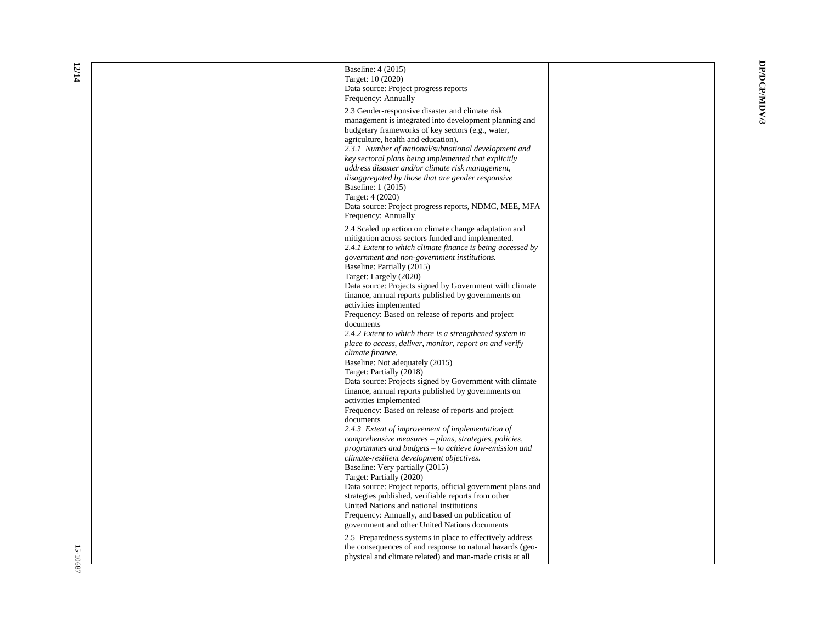DP/DCP/MDV/3 **DP/DCP/MDV/3**

| Baseline: 4 (2015)<br>Target: 10 (2020)                                                                            |  |
|--------------------------------------------------------------------------------------------------------------------|--|
| Data source: Project progress reports                                                                              |  |
| Frequency: Annually                                                                                                |  |
| 2.3 Gender-responsive disaster and climate risk                                                                    |  |
| management is integrated into development planning and                                                             |  |
| budgetary frameworks of key sectors (e.g., water,                                                                  |  |
| agriculture, health and education).                                                                                |  |
| 2.3.1 Number of national/subnational development and                                                               |  |
| key sectoral plans being implemented that explicitly<br>address disaster and/or climate risk management,           |  |
| disaggregated by those that are gender responsive                                                                  |  |
| Baseline: 1 (2015)                                                                                                 |  |
| Target: 4 (2020)                                                                                                   |  |
| Data source: Project progress reports, NDMC, MEE, MFA                                                              |  |
| Frequency: Annually                                                                                                |  |
| 2.4 Scaled up action on climate change adaptation and                                                              |  |
| mitigation across sectors funded and implemented.                                                                  |  |
| 2.4.1 Extent to which climate finance is being accessed by                                                         |  |
| government and non-government institutions.                                                                        |  |
| Baseline: Partially (2015)                                                                                         |  |
| Target: Largely (2020)                                                                                             |  |
| Data source: Projects signed by Government with climate                                                            |  |
| finance, annual reports published by governments on<br>activities implemented                                      |  |
| Frequency: Based on release of reports and project                                                                 |  |
| documents                                                                                                          |  |
| 2.4.2 Extent to which there is a strengthened system in                                                            |  |
| place to access, deliver, monitor, report on and verify                                                            |  |
| climate finance.                                                                                                   |  |
| Baseline: Not adequately (2015)                                                                                    |  |
| Target: Partially (2018)                                                                                           |  |
| Data source: Projects signed by Government with climate<br>finance, annual reports published by governments on     |  |
| activities implemented                                                                                             |  |
| Frequency: Based on release of reports and project                                                                 |  |
| documents                                                                                                          |  |
| 2.4.3 Extent of improvement of implementation of                                                                   |  |
| comprehensive measures - plans, strategies, policies,                                                              |  |
| programmes and budgets – to achieve low-emission and                                                               |  |
| climate-resilient development objectives.                                                                          |  |
| Baseline: Very partially (2015)                                                                                    |  |
| Target: Partially (2020)                                                                                           |  |
| Data source: Project reports, official government plans and<br>strategies published, verifiable reports from other |  |
| United Nations and national institutions                                                                           |  |
| Frequency: Annually, and based on publication of                                                                   |  |
| government and other United Nations documents                                                                      |  |
| 2.5 Preparedness systems in place to effectively address                                                           |  |
| the consequences of and response to natural hazards (geo-                                                          |  |
| physical and climate related) and man-made crisis at all                                                           |  |
|                                                                                                                    |  |

**12 /14**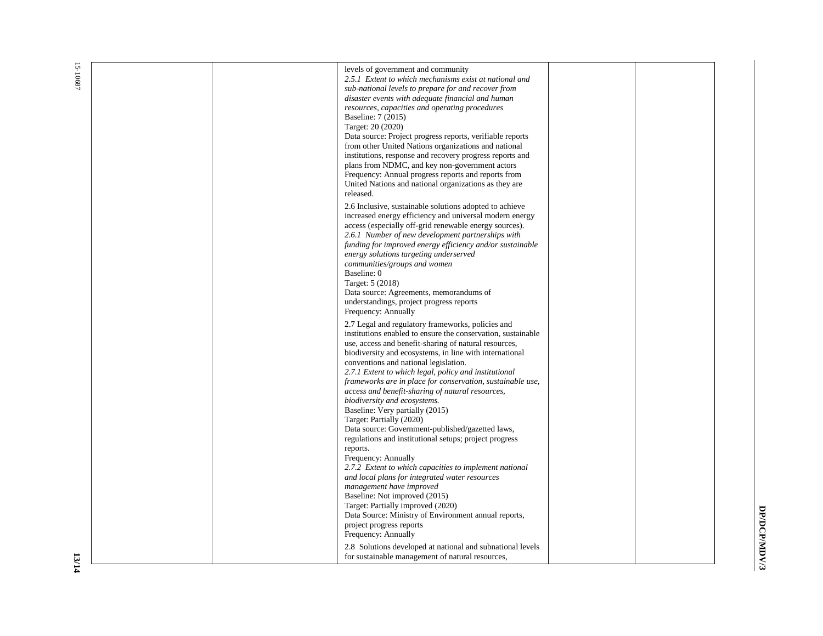| levels of government and community<br>2.5.1 Extent to which mechanisms exist at national and<br>sub-national levels to prepare for and recover from<br>disaster events with adequate financial and human<br>resources, capacities and operating procedures<br>Baseline: 7 (2015)<br>Target: 20 (2020)<br>Data source: Project progress reports, verifiable reports<br>from other United Nations organizations and national<br>institutions, response and recovery progress reports and<br>plans from NDMC, and key non-government actors<br>Frequency: Annual progress reports and reports from<br>United Nations and national organizations as they are<br>released.<br>2.6 Inclusive, sustainable solutions adopted to achieve<br>increased energy efficiency and universal modern energy<br>access (especially off-grid renewable energy sources).<br>2.6.1 Number of new development partnerships with<br>funding for improved energy efficiency and/or sustainable<br>energy solutions targeting underserved<br>communities/groups and women<br>Baseline: 0<br>Target: 5 (2018)<br>Data source: Agreements, memorandums of<br>understandings, project progress reports<br>Frequency: Annually |  |
|----------------------------------------------------------------------------------------------------------------------------------------------------------------------------------------------------------------------------------------------------------------------------------------------------------------------------------------------------------------------------------------------------------------------------------------------------------------------------------------------------------------------------------------------------------------------------------------------------------------------------------------------------------------------------------------------------------------------------------------------------------------------------------------------------------------------------------------------------------------------------------------------------------------------------------------------------------------------------------------------------------------------------------------------------------------------------------------------------------------------------------------------------------------------------------------------------|--|
| 2.7 Legal and regulatory frameworks, policies and<br>institutions enabled to ensure the conservation, sustainable<br>use, access and benefit-sharing of natural resources,<br>biodiversity and ecosystems, in line with international<br>conventions and national legislation.<br>2.7.1 Extent to which legal, policy and institutional<br>frameworks are in place for conservation, sustainable use,<br>access and benefit-sharing of natural resources,<br>biodiversity and ecosystems.<br>Baseline: Very partially (2015)<br>Target: Partially (2020)<br>Data source: Government-published/gazetted laws,<br>regulations and institutional setups; project progress<br>reports.<br>Frequency: Annually<br>2.7.2 Extent to which capacities to implement national<br>and local plans for integrated water resources<br>management have improved<br>Baseline: Not improved (2015)<br>Target: Partially improved (2020)<br>Data Source: Ministry of Environment annual reports,<br>project progress reports<br>Frequency: Annually<br>2.8 Solutions developed at national and subnational levels<br>for sustainable management of natural resources,                                               |  |

15-10687 15-10687

> DP/DCP/MDV/3 **DP/DCP/MDV/3**